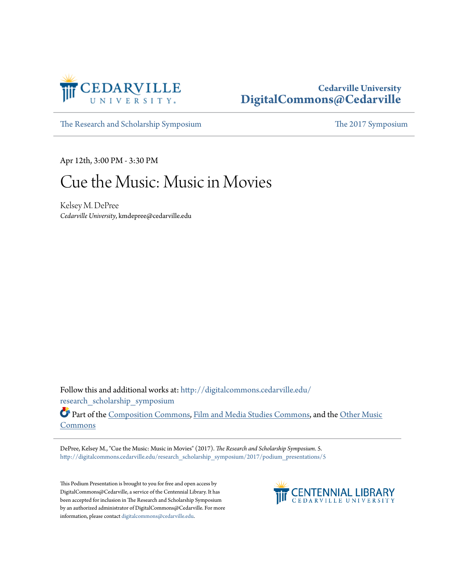

## **Cedarville University [DigitalCommons@Cedarville](http://digitalcommons.cedarville.edu?utm_source=digitalcommons.cedarville.edu%2Fresearch_scholarship_symposium%2F2017%2Fpodium_presentations%2F5&utm_medium=PDF&utm_campaign=PDFCoverPages)**

[The Research and Scholarship Symposium](http://digitalcommons.cedarville.edu/research_scholarship_symposium?utm_source=digitalcommons.cedarville.edu%2Fresearch_scholarship_symposium%2F2017%2Fpodium_presentations%2F5&utm_medium=PDF&utm_campaign=PDFCoverPages) [The 2017 Symposium](http://digitalcommons.cedarville.edu/research_scholarship_symposium/2017?utm_source=digitalcommons.cedarville.edu%2Fresearch_scholarship_symposium%2F2017%2Fpodium_presentations%2F5&utm_medium=PDF&utm_campaign=PDFCoverPages)

Apr 12th, 3:00 PM - 3:30 PM

## Cue the Music: Music in Movies

Kelsey M. DePree *Cedarville University*, kmdepree@cedarville.edu

Follow this and additional works at: [http://digitalcommons.cedarville.edu/](http://digitalcommons.cedarville.edu/research_scholarship_symposium?utm_source=digitalcommons.cedarville.edu%2Fresearch_scholarship_symposium%2F2017%2Fpodium_presentations%2F5&utm_medium=PDF&utm_campaign=PDFCoverPages) [research\\_scholarship\\_symposium](http://digitalcommons.cedarville.edu/research_scholarship_symposium?utm_source=digitalcommons.cedarville.edu%2Fresearch_scholarship_symposium%2F2017%2Fpodium_presentations%2F5&utm_medium=PDF&utm_campaign=PDFCoverPages)

Part of the [Composition Commons,](http://network.bepress.com/hgg/discipline/519?utm_source=digitalcommons.cedarville.edu%2Fresearch_scholarship_symposium%2F2017%2Fpodium_presentations%2F5&utm_medium=PDF&utm_campaign=PDFCoverPages) [Film and Media Studies Commons,](http://network.bepress.com/hgg/discipline/563?utm_source=digitalcommons.cedarville.edu%2Fresearch_scholarship_symposium%2F2017%2Fpodium_presentations%2F5&utm_medium=PDF&utm_campaign=PDFCoverPages) and the [Other Music](http://network.bepress.com/hgg/discipline/524?utm_source=digitalcommons.cedarville.edu%2Fresearch_scholarship_symposium%2F2017%2Fpodium_presentations%2F5&utm_medium=PDF&utm_campaign=PDFCoverPages) [Commons](http://network.bepress.com/hgg/discipline/524?utm_source=digitalcommons.cedarville.edu%2Fresearch_scholarship_symposium%2F2017%2Fpodium_presentations%2F5&utm_medium=PDF&utm_campaign=PDFCoverPages)

DePree, Kelsey M., "Cue the Music: Music in Movies" (2017). *The Research and Scholarship Symposium*. 5. [http://digitalcommons.cedarville.edu/research\\_scholarship\\_symposium/2017/podium\\_presentations/5](http://digitalcommons.cedarville.edu/research_scholarship_symposium/2017/podium_presentations/5?utm_source=digitalcommons.cedarville.edu%2Fresearch_scholarship_symposium%2F2017%2Fpodium_presentations%2F5&utm_medium=PDF&utm_campaign=PDFCoverPages)

This Podium Presentation is brought to you for free and open access by DigitalCommons@Cedarville, a service of the Centennial Library. It has been accepted for inclusion in The Research and Scholarship Symposium by an authorized administrator of DigitalCommons@Cedarville. For more information, please contact [digitalcommons@cedarville.edu.](mailto:digitalcommons@cedarville.edu)

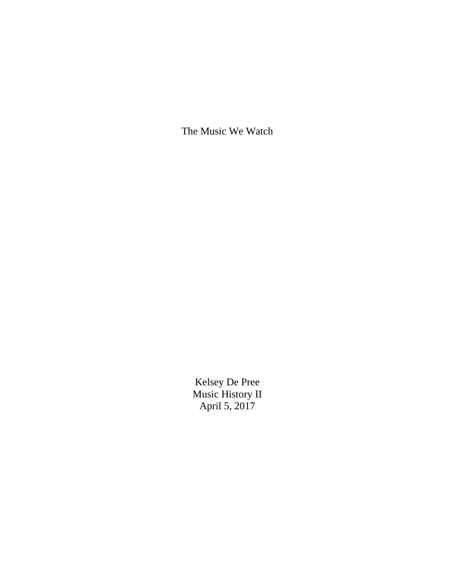The Music We Watch

Kelsey De Pree Music History II April 5, 2017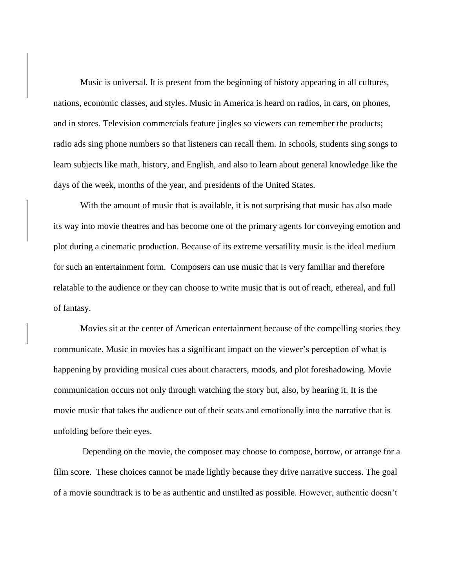Music is universal. It is present from the beginning of history appearing in all cultures, nations, economic classes, and styles. Music in America is heard on radios, in cars, on phones, and in stores. Television commercials feature jingles so viewers can remember the products; radio ads sing phone numbers so that listeners can recall them. In schools, students sing songs to learn subjects like math, history, and English, and also to learn about general knowledge like the days of the week, months of the year, and presidents of the United States.

With the amount of music that is available, it is not surprising that music has also made its way into movie theatres and has become one of the primary agents for conveying emotion and plot during a cinematic production. Because of its extreme versatility music is the ideal medium for such an entertainment form. Composers can use music that is very familiar and therefore relatable to the audience or they can choose to write music that is out of reach, ethereal, and full of fantasy.

Movies sit at the center of American entertainment because of the compelling stories they communicate. Music in movies has a significant impact on the viewer's perception of what is happening by providing musical cues about characters, moods, and plot foreshadowing. Movie communication occurs not only through watching the story but, also, by hearing it. It is the movie music that takes the audience out of their seats and emotionally into the narrative that is unfolding before their eyes.

Depending on the movie, the composer may choose to compose, borrow, or arrange for a film score. These choices cannot be made lightly because they drive narrative success. The goal of a movie soundtrack is to be as authentic and unstilted as possible. However, authentic doesn't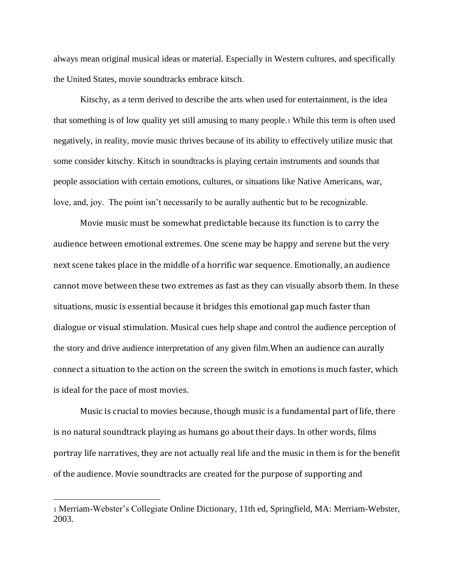always mean original musical ideas or material. Especially in Western cultures, and specifically the United States, movie soundtracks embrace kitsch.

Kitschy, as a term derived to describe the arts when used for entertainment, is the idea that something is of low quality yet still amusing to many people.<sup>1</sup> While this term is often used negatively, in reality, movie music thrives because of its ability to effectively utilize music that some consider kitschy. Kitsch in soundtracks is playing certain instruments and sounds that people association with certain emotions, cultures, or situations like Native Americans, war, love, and, joy. The point isn't necessarily to be aurally authentic but to be recognizable.

Movie music must be somewhat predictable because its function is to carry the audience between emotional extremes. One scene may be happy and serene but the very next scene takes place in the middle of a horrific war sequence. Emotionally, an audience cannot move between these two extremes as fast as they can visually absorb them. In these situations, music is essential because it bridges this emotional gap much faster than dialogue or visual stimulation. Musical cues help shape and control the audience perception of the story and drive audience interpretation of any given film.When an audience can aurally connect a situation to the action on the screen the switch in emotions is much faster, which is ideal for the pace of most movies.

Music is crucial to movies because, though music is a fundamental part of life, there is no natural soundtrack playing as humans go about their days. In other words, films portray life narratives, they are not actually real life and the music in them is for the benefit of the audience. Movie soundtracks are created for the purpose of supporting and

<sup>1</sup> Merriam-Webster's Collegiate Online Dictionary, 11th ed, Springfield, MA: Merriam-Webster, 2003.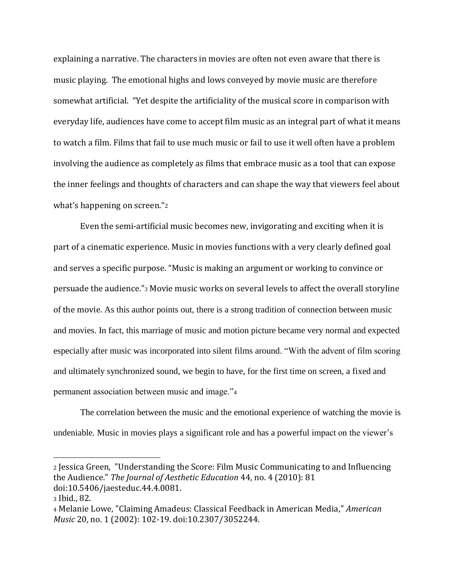explaining a narrative. The characters in movies are often not even aware that there is music playing. The emotional highs and lows conveyed by movie music are therefore somewhat artificial. "Yet despite the artificiality of the musical score in comparison with everyday life, audiences have come to accept film music as an integral part of what it means to watch a film. Films that fail to use much music or fail to use it well often have a problem involving the audience as completely as films that embrace music as a tool that can expose the inner feelings and thoughts of characters and can shape the way that viewers feel about what's happening on screen."<sup>2</sup>

Even the semi-artificial music becomes new, invigorating and exciting when it is part of a cinematic experience. Music in movies functions with a very clearly defined goal and serves a specific purpose. "Music is making an argument or working to convince or persuade the audience."<sup>3</sup> Movie music works on several levels to affect the overall storyline of the movie. As this author points out, there is a strong tradition of connection between music and movies. In fact, this marriage of music and motion picture became very normal and expected especially after music was incorporated into silent films around. "With the advent of film scoring and ultimately synchronized sound, we begin to have, for the first time on screen, a fixed and permanent association between music and image."<sup>4</sup>

The correlation between the music and the emotional experience of watching the movie is undeniable. Music in movies plays a significant role and has a powerful impact on the viewer's

<sup>2</sup> Jessica Green, "Understanding the Score: Film Music Communicating to and Influencing the Audience." *The Journal of Aesthetic Education* 44, no. 4 (2010): 81 doi:10.5406/jaesteduc.44.4.0081.

<sup>3</sup> Ibid., 82.

<sup>4</sup> Melanie Lowe, "Claiming Amadeus: Classical Feedback in American Media," *American Music* 20, no. 1 (2002): 102-19. doi:10.2307/3052244.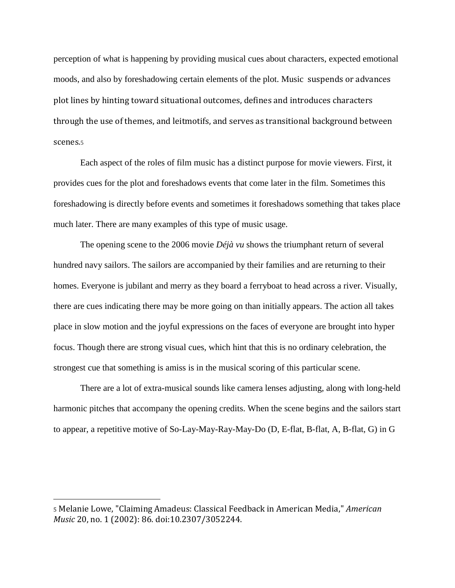perception of what is happening by providing musical cues about characters, expected emotional moods, and also by foreshadowing certain elements of the plot. Music suspends or advances plot lines by hinting toward situational outcomes, defines and introduces characters through the use of themes, and leitmotifs, and serves as transitional background between scenes.<sup>5</sup>

Each aspect of the roles of film music has a distinct purpose for movie viewers. First, it provides cues for the plot and foreshadows events that come later in the film. Sometimes this foreshadowing is directly before events and sometimes it foreshadows something that takes place much later. There are many examples of this type of music usage.

The opening scene to the 2006 movie *Déjà vu* shows the triumphant return of several hundred navy sailors. The sailors are accompanied by their families and are returning to their homes. Everyone is jubilant and merry as they board a ferryboat to head across a river. Visually, there are cues indicating there may be more going on than initially appears. The action all takes place in slow motion and the joyful expressions on the faces of everyone are brought into hyper focus. Though there are strong visual cues, which hint that this is no ordinary celebration, the strongest cue that something is amiss is in the musical scoring of this particular scene.

There are a lot of extra-musical sounds like camera lenses adjusting, along with long-held harmonic pitches that accompany the opening credits. When the scene begins and the sailors start to appear, a repetitive motive of So-Lay-May-Ray-May-Do (D, E-flat, B-flat, A, B-flat, G) in G

<sup>5</sup> Melanie Lowe, "Claiming Amadeus: Classical Feedback in American Media," *American Music* 20, no. 1 (2002): 86. doi:10.2307/3052244.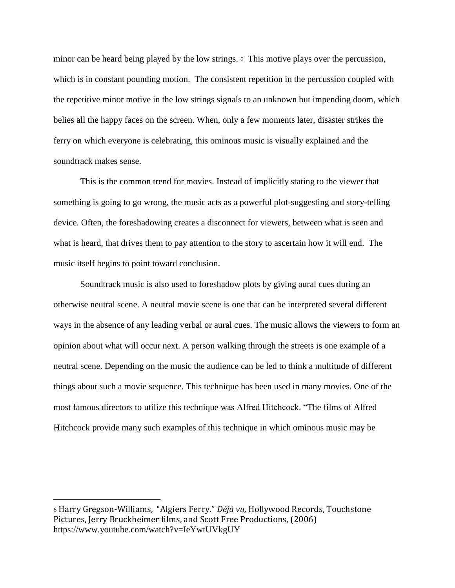minor can be heard being played by the low strings. <sup>6</sup> This motive plays over the percussion, which is in constant pounding motion. The consistent repetition in the percussion coupled with the repetitive minor motive in the low strings signals to an unknown but impending doom, which belies all the happy faces on the screen. When, only a few moments later, disaster strikes the ferry on which everyone is celebrating, this ominous music is visually explained and the soundtrack makes sense.

This is the common trend for movies. Instead of implicitly stating to the viewer that something is going to go wrong, the music acts as a powerful plot-suggesting and story-telling device. Often, the foreshadowing creates a disconnect for viewers, between what is seen and what is heard, that drives them to pay attention to the story to ascertain how it will end. The music itself begins to point toward conclusion.

Soundtrack music is also used to foreshadow plots by giving aural cues during an otherwise neutral scene. A neutral movie scene is one that can be interpreted several different ways in the absence of any leading verbal or aural cues. The music allows the viewers to form an opinion about what will occur next. A person walking through the streets is one example of a neutral scene. Depending on the music the audience can be led to think a multitude of different things about such a movie sequence. This technique has been used in many movies. One of the most famous directors to utilize this technique was Alfred Hitchcock. "The films of Alfred Hitchcock provide many such examples of this technique in which ominous music may be

<sup>6</sup> Harry Gregson-Williams, "Algiers Ferry." *Déjà vu,* Hollywood Records, Touchstone Pictures, Jerry Bruckheimer films, and Scott Free Productions, (2006) <https://www.youtube.com/watch?v=IeYwtUVkgUY>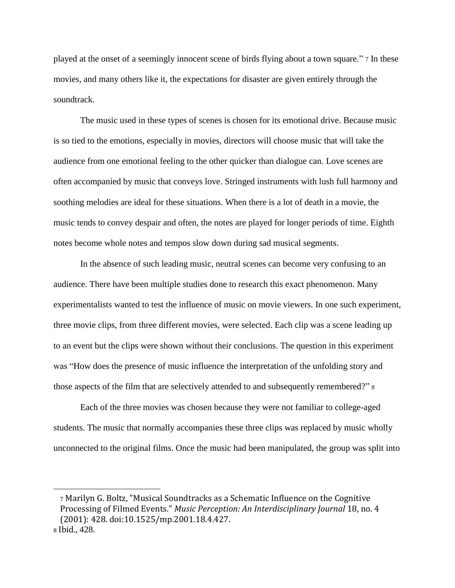played at the onset of a seemingly innocent scene of birds flying about a town square." <sup>7</sup> In these movies, and many others like it, the expectations for disaster are given entirely through the soundtrack.

The music used in these types of scenes is chosen for its emotional drive. Because music is so tied to the emotions, especially in movies, directors will choose music that will take the audience from one emotional feeling to the other quicker than dialogue can. Love scenes are often accompanied by music that conveys love. Stringed instruments with lush full harmony and soothing melodies are ideal for these situations. When there is a lot of death in a movie, the music tends to convey despair and often, the notes are played for longer periods of time. Eighth notes become whole notes and tempos slow down during sad musical segments.

In the absence of such leading music, neutral scenes can become very confusing to an audience. There have been multiple studies done to research this exact phenomenon. Many experimentalists wanted to test the influence of music on movie viewers. In one such experiment, three movie clips, from three different movies, were selected. Each clip was a scene leading up to an event but the clips were shown without their conclusions. The question in this experiment was "How does the presence of music influence the interpretation of the unfolding story and those aspects of the film that are selectively attended to and subsequently remembered?" <sup>8</sup>

Each of the three movies was chosen because they were not familiar to college-aged students. The music that normally accompanies these three clips was replaced by music wholly unconnected to the original films. Once the music had been manipulated, the group was split into

<sup>7</sup> Marilyn G. Boltz, "Musical Soundtracks as a Schematic Influence on the Cognitive Processing of Filmed Events." *Music Perception: An Interdisciplinary Journal* 18, no. 4 (2001): 428. doi:10.1525/mp.2001.18.4.427. <sup>8</sup> Ibid., 428.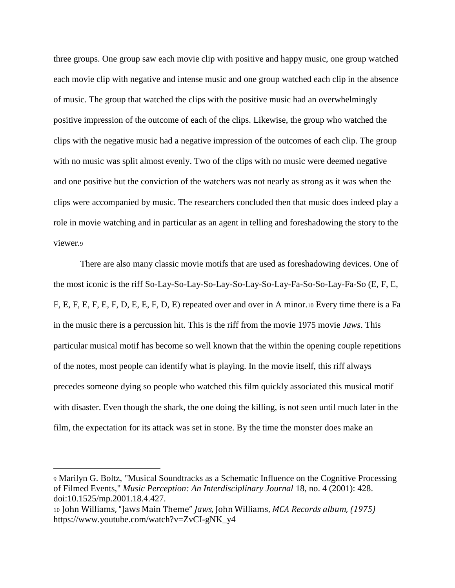three groups. One group saw each movie clip with positive and happy music, one group watched each movie clip with negative and intense music and one group watched each clip in the absence of music. The group that watched the clips with the positive music had an overwhelmingly positive impression of the outcome of each of the clips. Likewise, the group who watched the clips with the negative music had a negative impression of the outcomes of each clip. The group with no music was split almost evenly. Two of the clips with no music were deemed negative and one positive but the conviction of the watchers was not nearly as strong as it was when the clips were accompanied by music. The researchers concluded then that music does indeed play a role in movie watching and in particular as an agent in telling and foreshadowing the story to the viewer.<sup>9</sup>

There are also many classic movie motifs that are used as foreshadowing devices. One of the most iconic is the riff So-Lay-So-Lay-So-Lay-So-Lay-So-Lay-Fa-So-So-Lay-Fa-So (E, F, E, F, E, F, E, F, E, F, D, E, E, F, D, E) repeated over and over in A minor.<sup>10</sup> Every time there is a Fa in the music there is a percussion hit. This is the riff from the movie 1975 movie *Jaws*. This particular musical motif has become so well known that the within the opening couple repetitions of the notes, most people can identify what is playing. In the movie itself, this riff always precedes someone dying so people who watched this film quickly associated this musical motif with disaster. Even though the shark, the one doing the killing, is not seen until much later in the film, the expectation for its attack was set in stone. By the time the monster does make an

<sup>9</sup> Marilyn G. Boltz, "Musical Soundtracks as a Schematic Influence on the Cognitive Processing of Filmed Events," *Music Perception: An Interdisciplinary Journal* 18, no. 4 (2001): 428. doi:10.1525/mp.2001.18.4.427.

<sup>10</sup> John Williams, "Jaws Main Theme" *Jaws,* John Williams, *MCA Records album, (1975)*  [https://www.youtube.com/watch?v=ZvCI-gNK\\_y4](https://www.youtube.com/watch?v=ZvCI-gNK_y4)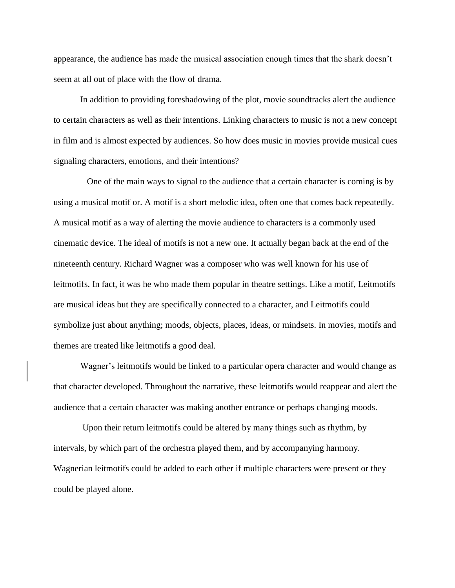appearance, the audience has made the musical association enough times that the shark doesn't seem at all out of place with the flow of drama.

In addition to providing foreshadowing of the plot, movie soundtracks alert the audience to certain characters as well as their intentions. Linking characters to music is not a new concept in film and is almost expected by audiences. So how does music in movies provide musical cues signaling characters, emotions, and their intentions?

 One of the main ways to signal to the audience that a certain character is coming is by using a musical motif or. A motif is a short melodic idea, often one that comes back repeatedly. A musical motif as a way of alerting the movie audience to characters is a commonly used cinematic device. The ideal of motifs is not a new one. It actually began back at the end of the nineteenth century. Richard Wagner was a composer who was well known for his use of leitmotifs. In fact, it was he who made them popular in theatre settings. Like a motif, Leitmotifs are musical ideas but they are specifically connected to a character, and Leitmotifs could symbolize just about anything; moods, objects, places, ideas, or mindsets. In movies, motifs and themes are treated like leitmotifs a good deal.

Wagner's leitmotifs would be linked to a particular opera character and would change as that character developed. Throughout the narrative, these leitmotifs would reappear and alert the audience that a certain character was making another entrance or perhaps changing moods.

Upon their return leitmotifs could be altered by many things such as rhythm, by intervals, by which part of the orchestra played them, and by accompanying harmony. Wagnerian leitmotifs could be added to each other if multiple characters were present or they could be played alone.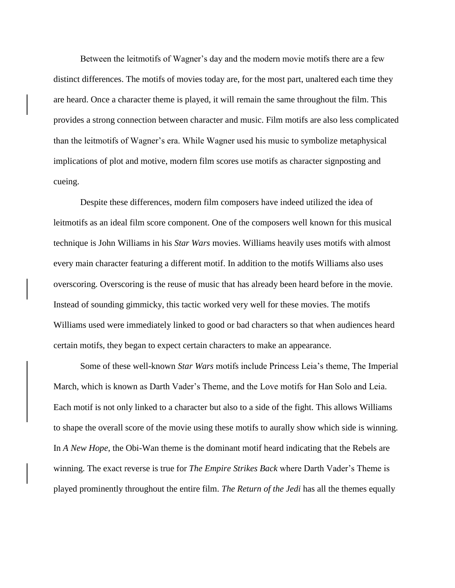Between the leitmotifs of Wagner's day and the modern movie motifs there are a few distinct differences. The motifs of movies today are, for the most part, unaltered each time they are heard. Once a character theme is played, it will remain the same throughout the film. This provides a strong connection between character and music. Film motifs are also less complicated than the leitmotifs of Wagner's era. While Wagner used his music to symbolize metaphysical implications of plot and motive, modern film scores use motifs as character signposting and cueing.

Despite these differences, modern film composers have indeed utilized the idea of leitmotifs as an ideal film score component. One of the composers well known for this musical technique is John Williams in his *Star Wars* movies. Williams heavily uses motifs with almost every main character featuring a different motif. In addition to the motifs Williams also uses overscoring. Overscoring is the reuse of music that has already been heard before in the movie. Instead of sounding gimmicky, this tactic worked very well for these movies. The motifs Williams used were immediately linked to good or bad characters so that when audiences heard certain motifs, they began to expect certain characters to make an appearance.

Some of these well-known *Star Wars* motifs include Princess Leia's theme, The Imperial March, which is known as Darth Vader's Theme, and the Love motifs for Han Solo and Leia. Each motif is not only linked to a character but also to a side of the fight. This allows Williams to shape the overall score of the movie using these motifs to aurally show which side is winning. In *A New Hope*, the Obi-Wan theme is the dominant motif heard indicating that the Rebels are winning. The exact reverse is true for *The Empire Strikes Back* where Darth Vader's Theme is played prominently throughout the entire film. *The Return of the Jedi* has all the themes equally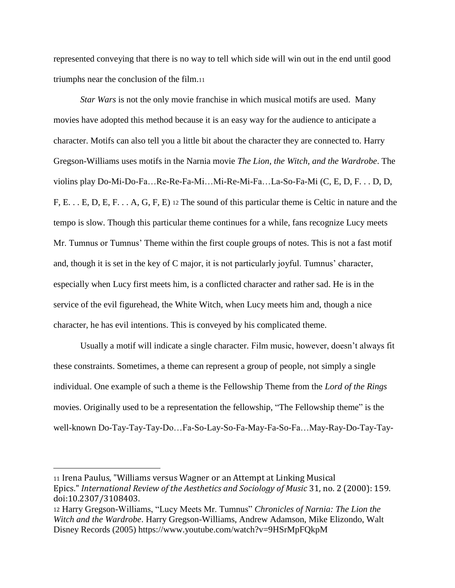represented conveying that there is no way to tell which side will win out in the end until good triumphs near the conclusion of the film.<sup>11</sup>

*Star Wars* is not the only movie franchise in which musical motifs are used. Many movies have adopted this method because it is an easy way for the audience to anticipate a character. Motifs can also tell you a little bit about the character they are connected to. Harry Gregson-Williams uses motifs in the Narnia movie *The Lion, the Witch, and the Wardrobe*. The violins play Do-Mi-Do-Fa…Re-Re-Fa-Mi…Mi-Re-Mi-Fa…La-So-Fa-Mi (C, E, D, F. . . D, D, F, E. . . E, D, E, F. . . A, G, F, E) <sup>12</sup> The sound of this particular theme is Celtic in nature and the tempo is slow. Though this particular theme continues for a while, fans recognize Lucy meets Mr. Tumnus or Tumnus' Theme within the first couple groups of notes. This is not a fast motif and, though it is set in the key of C major, it is not particularly joyful. Tumnus' character, especially when Lucy first meets him, is a conflicted character and rather sad. He is in the service of the evil figurehead, the White Witch, when Lucy meets him and, though a nice character, he has evil intentions. This is conveyed by his complicated theme.

Usually a motif will indicate a single character. Film music, however, doesn't always fit these constraints. Sometimes, a theme can represent a group of people, not simply a single individual. One example of such a theme is the Fellowship Theme from the *Lord of the Rings* movies. Originally used to be a representation the fellowship, "The Fellowship theme" is the well-known Do-Tay-Tay-Tay-Do…Fa-So-Lay-So-Fa-May-Fa-So-Fa…May-Ray-Do-Tay-Tay-

<sup>11</sup> Irena Paulus, "Williams versus Wagner or an Attempt at Linking Musical Epics." *International Review of the Aesthetics and Sociology of Music* 31, no. 2 (2000): 159. doi:10.2307/3108403.

<sup>12</sup> Harry Gregson-Williams, "Lucy Meets Mr. Tumnus" *Chronicles of Narnia: The Lion the Witch and the Wardrobe*. Harry Gregson-Williams, Andrew Adamson, Mike Elizondo, Walt Disney Records (2005)<https://www.youtube.com/watch?v=9HSrMpFQkpM>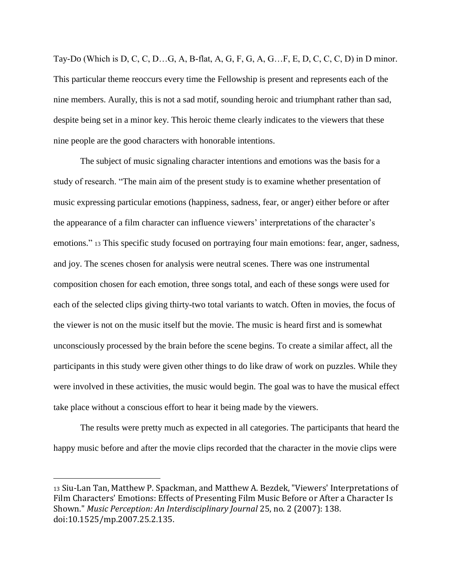Tay-Do (Which is D, C, C, D…G, A, B-flat, A, G, F, G, A, G…F, E, D, C, C, C, D) in D minor. This particular theme reoccurs every time the Fellowship is present and represents each of the nine members. Aurally, this is not a sad motif, sounding heroic and triumphant rather than sad, despite being set in a minor key. This heroic theme clearly indicates to the viewers that these nine people are the good characters with honorable intentions.

The subject of music signaling character intentions and emotions was the basis for a study of research. "The main aim of the present study is to examine whether presentation of music expressing particular emotions (happiness, sadness, fear, or anger) either before or after the appearance of a film character can influence viewers' interpretations of the character's emotions." <sup>13</sup> This specific study focused on portraying four main emotions: fear, anger, sadness, and joy. The scenes chosen for analysis were neutral scenes. There was one instrumental composition chosen for each emotion, three songs total, and each of these songs were used for each of the selected clips giving thirty-two total variants to watch. Often in movies, the focus of the viewer is not on the music itself but the movie. The music is heard first and is somewhat unconsciously processed by the brain before the scene begins. To create a similar affect, all the participants in this study were given other things to do like draw of work on puzzles. While they were involved in these activities, the music would begin. The goal was to have the musical effect take place without a conscious effort to hear it being made by the viewers.

The results were pretty much as expected in all categories. The participants that heard the happy music before and after the movie clips recorded that the character in the movie clips were

<sup>13</sup> Siu-Lan Tan, Matthew P. Spackman, and Matthew A. Bezdek, "Viewers' Interpretations of Film Characters' Emotions: Effects of Presenting Film Music Before or After a Character Is Shown." *Music Perception: An Interdisciplinary Journal* 25, no. 2 (2007): 138. doi:10.1525/mp.2007.25.2.135.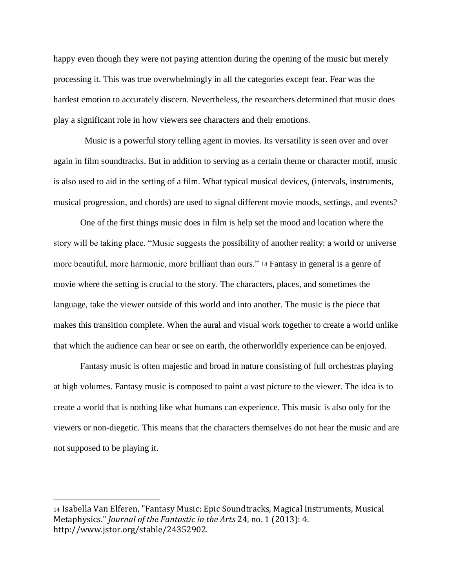happy even though they were not paying attention during the opening of the music but merely processing it. This was true overwhelmingly in all the categories except fear. Fear was the hardest emotion to accurately discern. Nevertheless, the researchers determined that music does play a significant role in how viewers see characters and their emotions.

 Music is a powerful story telling agent in movies. Its versatility is seen over and over again in film soundtracks. But in addition to serving as a certain theme or character motif, music is also used to aid in the setting of a film. What typical musical devices, (intervals, instruments, musical progression, and chords) are used to signal different movie moods, settings, and events?

One of the first things music does in film is help set the mood and location where the story will be taking place. "Music suggests the possibility of another reality: a world or universe more beautiful, more harmonic, more brilliant than ours." <sup>14</sup> Fantasy in general is a genre of movie where the setting is crucial to the story. The characters, places, and sometimes the language, take the viewer outside of this world and into another. The music is the piece that makes this transition complete. When the aural and visual work together to create a world unlike that which the audience can hear or see on earth, the otherworldly experience can be enjoyed.

Fantasy music is often majestic and broad in nature consisting of full orchestras playing at high volumes. Fantasy music is composed to paint a vast picture to the viewer. The idea is to create a world that is nothing like what humans can experience. This music is also only for the viewers or non-diegetic. This means that the characters themselves do not hear the music and are not supposed to be playing it.

<sup>14</sup> Isabella Van Elferen, "Fantasy Music: Epic Soundtracks, Magical Instruments, Musical Metaphysics." *Journal of the Fantastic in the Arts* 24, no. 1 (2013): 4. http://www.jstor.org/stable/24352902.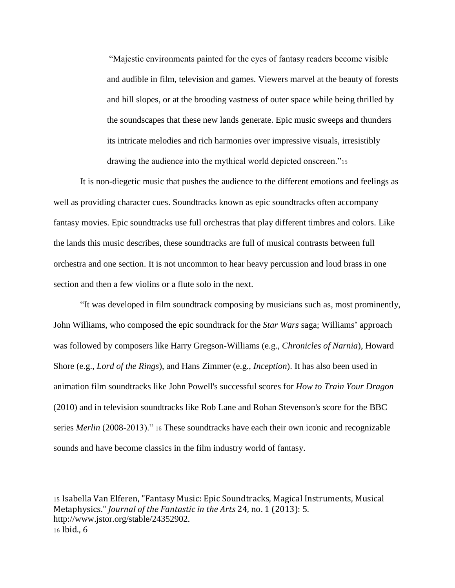"Majestic environments painted for the eyes of fantasy readers become visible and audible in film, television and games. Viewers marvel at the beauty of forests and hill slopes, or at the brooding vastness of outer space while being thrilled by the soundscapes that these new lands generate. Epic music sweeps and thunders its intricate melodies and rich harmonies over impressive visuals, irresistibly drawing the audience into the mythical world depicted onscreen."<sup>15</sup>

It is non-diegetic music that pushes the audience to the different emotions and feelings as well as providing character cues. Soundtracks known as epic soundtracks often accompany fantasy movies. Epic soundtracks use full orchestras that play different timbres and colors. Like the lands this music describes, these soundtracks are full of musical contrasts between full orchestra and one section. It is not uncommon to hear heavy percussion and loud brass in one section and then a few violins or a flute solo in the next.

"It was developed in film soundtrack composing by musicians such as, most prominently, John Williams, who composed the epic soundtrack for the *Star Wars* saga; Williams' approach was followed by composers like Harry Gregson-Williams (e.g., *Chronicles of Narnia*), Howard Shore (e.g., *Lord of the Rings*), and Hans Zimmer (e.g., *Inception*). It has also been used in animation film soundtracks like John Powell's successful scores for *How to Train Your Dragon* (2010) and in television soundtracks like Rob Lane and Rohan Stevenson's score for the BBC series *Merlin* (2008-2013)." <sup>16</sup> These soundtracks have each their own iconic and recognizable sounds and have become classics in the film industry world of fantasy.

<sup>15</sup> Isabella Van Elferen, "Fantasy Music: Epic Soundtracks, Magical Instruments, Musical Metaphysics." *Journal of the Fantastic in the Arts* 24, no. 1 (2013): 5. [http://www.jstor.org/stable/24352902.](http://www.jstor.org/stable/24352902) <sup>16</sup> Ibid., 6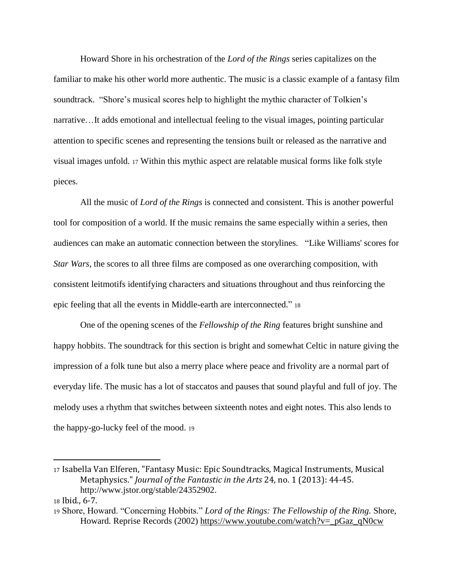Howard Shore in his orchestration of the *Lord of the Rings* series capitalizes on the familiar to make his other world more authentic. The music is a classic example of a fantasy film soundtrack. "Shore's musical scores help to highlight the mythic character of Tolkien's narrative…It adds emotional and intellectual feeling to the visual images, pointing particular attention to specific scenes and representing the tensions built or released as the narrative and visual images unfold. <sup>17</sup> Within this mythic aspect are relatable musical forms like folk style pieces.

All the music of *Lord of the Rings* is connected and consistent. This is another powerful tool for composition of a world. If the music remains the same especially within a series, then audiences can make an automatic connection between the storylines. "Like Williams' scores for *Star Wars*, the scores to all three films are composed as one overarching composition, with consistent leitmotifs identifying characters and situations throughout and thus reinforcing the epic feeling that all the events in Middle-earth are interconnected." <sup>18</sup>

One of the opening scenes of the *Fellowship of the Ring* features bright sunshine and happy hobbits. The soundtrack for this section is bright and somewhat Celtic in nature giving the impression of a folk tune but also a merry place where peace and frivolity are a normal part of everyday life. The music has a lot of staccatos and pauses that sound playful and full of joy. The melody uses a rhythm that switches between sixteenth notes and eight notes. This also lends to the happy-go-lucky feel of the mood. <sup>19</sup>

<sup>17</sup> Isabella Van Elferen, "Fantasy Music: Epic Soundtracks, Magical Instruments, Musical Metaphysics." *Journal of the Fantastic in the Arts* 24, no. 1 (2013): 44-45. [http://www.jstor.org/stable/24352902.](http://www.jstor.org/stable/24352902)

<sup>18</sup> Ibid., 6-7.

<sup>19</sup> Shore, Howard. "Concerning Hobbits." *Lord of the Rings: The Fellowship of the Ring.* Shore, Howard. Reprise Records (2002) https://www.youtube.com/watch?v= pGaz qN0cw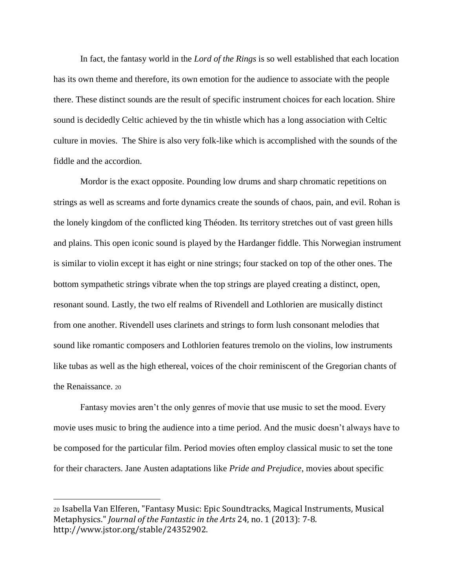In fact, the fantasy world in the *Lord of the Rings* is so well established that each location has its own theme and therefore, its own emotion for the audience to associate with the people there. These distinct sounds are the result of specific instrument choices for each location. Shire sound is decidedly Celtic achieved by the tin whistle which has a long association with Celtic culture in movies. The Shire is also very folk-like which is accomplished with the sounds of the fiddle and the accordion.

Mordor is the exact opposite. Pounding low drums and sharp chromatic repetitions on strings as well as screams and forte dynamics create the sounds of chaos, pain, and evil. Rohan is the lonely kingdom of the conflicted king Théoden. Its territory stretches out of vast green hills and plains. This open iconic sound is played by the Hardanger fiddle. This Norwegian instrument is similar to violin except it has eight or nine strings; four stacked on top of the other ones. The bottom sympathetic strings vibrate when the top strings are played creating a distinct, open, resonant sound. Lastly, the two elf realms of Rivendell and Lothlorien are musically distinct from one another. Rivendell uses clarinets and strings to form lush consonant melodies that sound like romantic composers and Lothlorien features tremolo on the violins, low instruments like tubas as well as the high ethereal, voices of the choir reminiscent of the Gregorian chants of the Renaissance. <sup>20</sup>

Fantasy movies aren't the only genres of movie that use music to set the mood. Every movie uses music to bring the audience into a time period. And the music doesn't always have to be composed for the particular film. Period movies often employ classical music to set the tone for their characters. Jane Austen adaptations like *Pride and Prejudice*, movies about specific

 $\overline{\phantom{a}}$ 

<sup>20</sup> Isabella Van Elferen, "Fantasy Music: Epic Soundtracks, Magical Instruments, Musical Metaphysics." *Journal of the Fantastic in the Arts* 24, no. 1 (2013): 7-8. http://www.jstor.org/stable/24352902.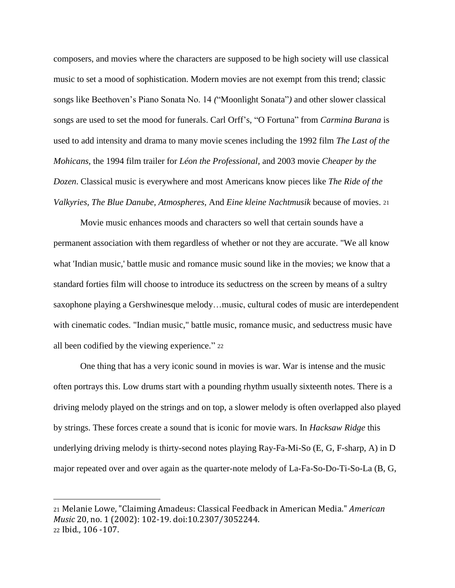composers, and movies where the characters are supposed to be high society will use classical music to set a mood of sophistication. Modern movies are not exempt from this trend; classic songs like Beethoven's Piano Sonata No. 14 *(*"Moonlight Sonata"*)* and other slower classical songs are used to set the mood for funerals. Carl Orff's, "O Fortuna" from *Carmina Burana* is used to add intensity and drama to many movie scenes including the 1992 film *The Last of the Mohicans,* the 1994 film trailer for *Léon the Professional,* and 2003 movie *Cheaper by the Dozen*. Classical music is everywhere and most Americans know pieces like *The Ride of the Valkyries, The Blue Danube, Atmospheres,* And *Eine kleine Nachtmusik* because of movies. <sup>21</sup>

Movie music enhances moods and characters so well that certain sounds have a permanent association with them regardless of whether or not they are accurate. "We all know what 'Indian music,' battle music and romance music sound like in the movies; we know that a standard forties film will choose to introduce its seductress on the screen by means of a sultry saxophone playing a Gershwinesque melody…music, cultural codes of music are interdependent with cinematic codes. "Indian music," battle music, romance music, and seductress music have all been codified by the viewing experience." <sup>22</sup>

One thing that has a very iconic sound in movies is war. War is intense and the music often portrays this. Low drums start with a pounding rhythm usually sixteenth notes. There is a driving melody played on the strings and on top, a slower melody is often overlapped also played by strings. These forces create a sound that is iconic for movie wars. In *Hacksaw Ridge* this underlying driving melody is thirty-second notes playing Ray-Fa-Mi-So (E, G, F-sharp, A) in D major repeated over and over again as the quarter-note melody of La-Fa-So-Do-Ti-So-La (B, G,

 $\overline{\phantom{a}}$ 

<sup>21</sup> Melanie Lowe, "Claiming Amadeus: Classical Feedback in American Media." *American Music* 20, no. 1 (2002): 102-19. doi:10.2307/3052244. <sup>22</sup> Ibid., 106 -107.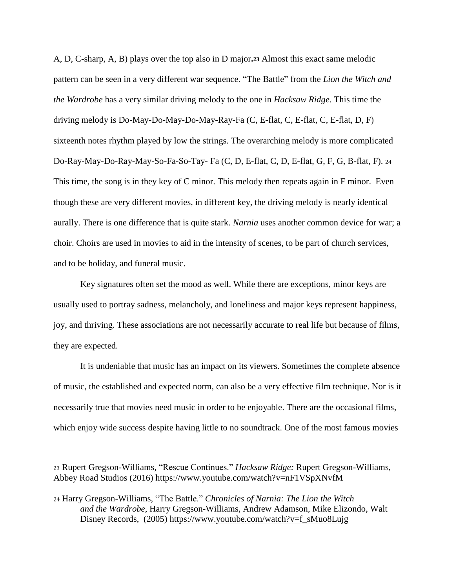A, D, C-sharp, A, B) plays over the top also in D major**.<sup>23</sup>** Almost this exact same melodic pattern can be seen in a very different war sequence. "The Battle" from the *Lion the Witch and the Wardrobe* has a very similar driving melody to the one in *Hacksaw Ridge*. This time the driving melody is Do-May-Do-May-Do-May-Ray-Fa (C, E-flat, C, E-flat, C, E-flat, D, F) sixteenth notes rhythm played by low the strings. The overarching melody is more complicated Do-Ray-May-Do-Ray-May-So-Fa-So-Tay- Fa (C, D, E-flat, C, D, E-flat, G, F, G, B-flat, F). <sup>24</sup> This time, the song is in they key of C minor. This melody then repeats again in F minor. Even though these are very different movies, in different key, the driving melody is nearly identical aurally. There is one difference that is quite stark. *Narnia* uses another common device for war; a choir. Choirs are used in movies to aid in the intensity of scenes, to be part of church services, and to be holiday, and funeral music.

Key signatures often set the mood as well. While there are exceptions, minor keys are usually used to portray sadness, melancholy, and loneliness and major keys represent happiness, joy, and thriving. These associations are not necessarily accurate to real life but because of films, they are expected.

It is undeniable that music has an impact on its viewers. Sometimes the complete absence of music, the established and expected norm, can also be a very effective film technique. Nor is it necessarily true that movies need music in order to be enjoyable. There are the occasional films, which enjoy wide success despite having little to no soundtrack. One of the most famous movies

<sup>23</sup> Rupert Gregson-Williams, "Rescue Continues." *Hacksaw Ridge:* Rupert Gregson-Williams, Abbey Road Studios (2016)<https://www.youtube.com/watch?v=nF1VSpXNvfM>

<sup>24</sup> Harry Gregson-Williams, "The Battle." *Chronicles of Narnia: The Lion the Witch and the Wardrobe*, Harry Gregson-Williams, Andrew Adamson, Mike Elizondo, Walt Disney Records, (2005) [https://www.youtube.com/watch?v=f\\_sMuo8Lujg](https://www.youtube.com/watch?v=f_sMuo8Lujg)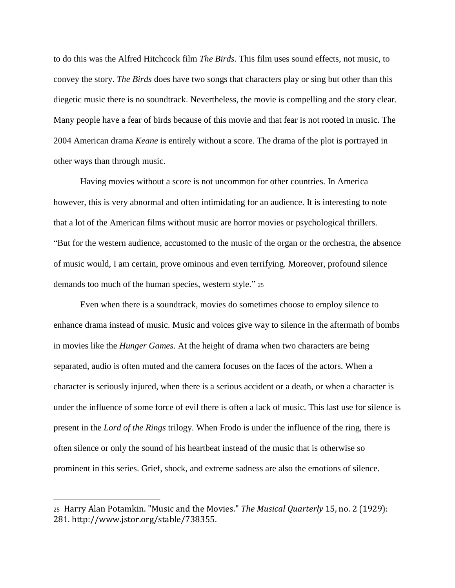to do this was the Alfred Hitchcock film *The Birds.* This film uses sound effects, not music, to convey the story. *The Birds* does have two songs that characters play or sing but other than this diegetic music there is no soundtrack. Nevertheless, the movie is compelling and the story clear. Many people have a fear of birds because of this movie and that fear is not rooted in music. The 2004 American drama *Keane* is entirely without a score. The drama of the plot is portrayed in other ways than through music.

Having movies without a score is not uncommon for other countries. In America however, this is very abnormal and often intimidating for an audience. It is interesting to note that a lot of the American films without music are horror movies or psychological thrillers. "But for the western audience, accustomed to the music of the organ or the orchestra, the absence of music would, I am certain, prove ominous and even terrifying. Moreover, profound silence demands too much of the human species, western style." <sup>25</sup>

Even when there is a soundtrack, movies do sometimes choose to employ silence to enhance drama instead of music. Music and voices give way to silence in the aftermath of bombs in movies like the *Hunger Games*. At the height of drama when two characters are being separated, audio is often muted and the camera focuses on the faces of the actors. When a character is seriously injured, when there is a serious accident or a death, or when a character is under the influence of some force of evil there is often a lack of music. This last use for silence is present in the *Lord of the Rings* trilogy. When Frodo is under the influence of the ring, there is often silence or only the sound of his heartbeat instead of the music that is otherwise so prominent in this series. Grief, shock, and extreme sadness are also the emotions of silence.

 $\overline{\phantom{a}}$ 

<sup>25</sup> Harry Alan Potamkin. "Music and the Movies." *The Musical Quarterly* 15, no. 2 (1929): 281. http://www.jstor.org/stable/738355.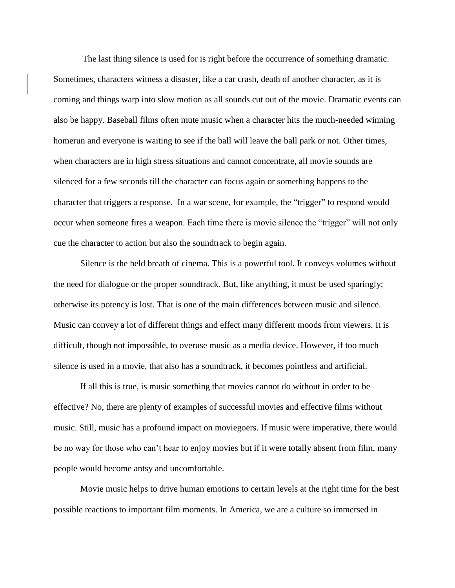The last thing silence is used for is right before the occurrence of something dramatic. Sometimes, characters witness a disaster, like a car crash, death of another character, as it is coming and things warp into slow motion as all sounds cut out of the movie. Dramatic events can also be happy. Baseball films often mute music when a character hits the much-needed winning homerun and everyone is waiting to see if the ball will leave the ball park or not. Other times, when characters are in high stress situations and cannot concentrate, all movie sounds are silenced for a few seconds till the character can focus again or something happens to the character that triggers a response. In a war scene, for example, the "trigger" to respond would occur when someone fires a weapon. Each time there is movie silence the "trigger" will not only cue the character to action but also the soundtrack to begin again.

Silence is the held breath of cinema. This is a powerful tool. It conveys volumes without the need for dialogue or the proper soundtrack. But, like anything, it must be used sparingly; otherwise its potency is lost. That is one of the main differences between music and silence. Music can convey a lot of different things and effect many different moods from viewers. It is difficult, though not impossible, to overuse music as a media device. However, if too much silence is used in a movie, that also has a soundtrack, it becomes pointless and artificial.

If all this is true, is music something that movies cannot do without in order to be effective? No, there are plenty of examples of successful movies and effective films without music. Still, music has a profound impact on moviegoers. If music were imperative, there would be no way for those who can't hear to enjoy movies but if it were totally absent from film, many people would become antsy and uncomfortable.

Movie music helps to drive human emotions to certain levels at the right time for the best possible reactions to important film moments. In America, we are a culture so immersed in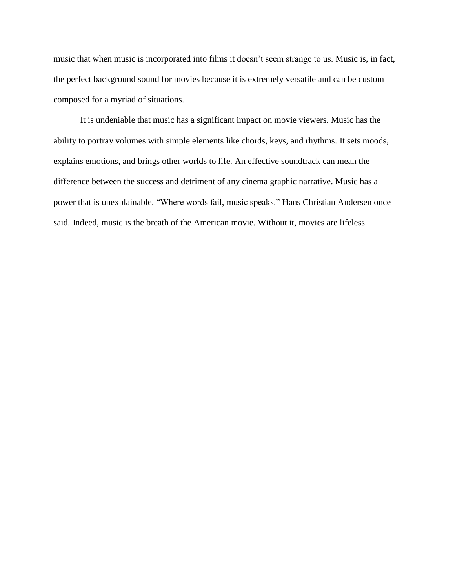music that when music is incorporated into films it doesn't seem strange to us. Music is, in fact, the perfect background sound for movies because it is extremely versatile and can be custom composed for a myriad of situations.

It is undeniable that music has a significant impact on movie viewers. Music has the ability to portray volumes with simple elements like chords, keys, and rhythms. It sets moods, explains emotions, and brings other worlds to life. An effective soundtrack can mean the difference between the success and detriment of any cinema graphic narrative. Music has a power that is unexplainable. "Where words fail, music speaks." Hans Christian Andersen once said. Indeed, music is the breath of the American movie. Without it, movies are lifeless.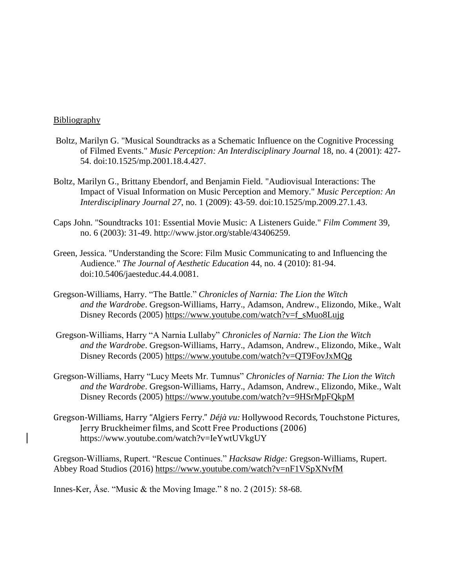## **Bibliography**

- Boltz, Marilyn G. "Musical Soundtracks as a Schematic Influence on the Cognitive Processing of Filmed Events." *Music Perception: An Interdisciplinary Journal* 18, no. 4 (2001): 427- 54. doi:10.1525/mp.2001.18.4.427.
- Boltz, Marilyn G., Brittany Ebendorf, and Benjamin Field. "Audiovisual Interactions: The Impact of Visual Information on Music Perception and Memory." *Music Perception: An Interdisciplinary Journal 27*, no. 1 (2009): 43-59. doi:10.1525/mp.2009.27.1.43.
- Caps John. "Soundtracks 101: Essential Movie Music: A Listeners Guide." *Film Comment* 39, no. 6 (2003): 31-49. http://www.jstor.org/stable/43406259.
- Green, Jessica. "Understanding the Score: Film Music Communicating to and Influencing the Audience." *The Journal of Aesthetic Education* 44, no. 4 (2010): 81-94. doi:10.5406/jaesteduc.44.4.0081.
- Gregson-Williams, Harry. "The Battle." *Chronicles of Narnia: The Lion the Witch and the Wardrobe*. Gregson-Williams, Harry., Adamson, Andrew., Elizondo, Mike., Walt Disney Records (2005) [https://www.youtube.com/watch?v=f\\_sMuo8Lujg](https://www.youtube.com/watch?v=f_sMuo8Lujg)
- Gregson-Williams, Harry "A Narnia Lullaby" *Chronicles of Narnia: The Lion the Witch and the Wardrobe*. Gregson-Williams, Harry., Adamson, Andrew., Elizondo, Mike., Walt Disney Records (2005)<https://www.youtube.com/watch?v=QT9FovJxMQg>
- Gregson-Williams, Harry "Lucy Meets Mr. Tumnus" *Chronicles of Narnia: The Lion the Witch and the Wardrobe*. Gregson-Williams, Harry., Adamson, Andrew., Elizondo, Mike., Walt Disney Records (2005)<https://www.youtube.com/watch?v=9HSrMpFQkpM>
- Gregson-Williams, Harry "Algiers Ferry." *Déjà vu:* Hollywood Records, Touchstone Pictures, Jerry Bruckheimer films, and Scott Free Productions (2006) <https://www.youtube.com/watch?v=IeYwtUVkgUY>

Gregson-Williams, Rupert. "Rescue Continues." *Hacksaw Ridge:* Gregson-Williams, Rupert. Abbey Road Studios (2016)<https://www.youtube.com/watch?v=nF1VSpXNvfM>

Innes-Ker, Åse. "Music & the Moving Image." 8 no. 2 (2015): 58-68.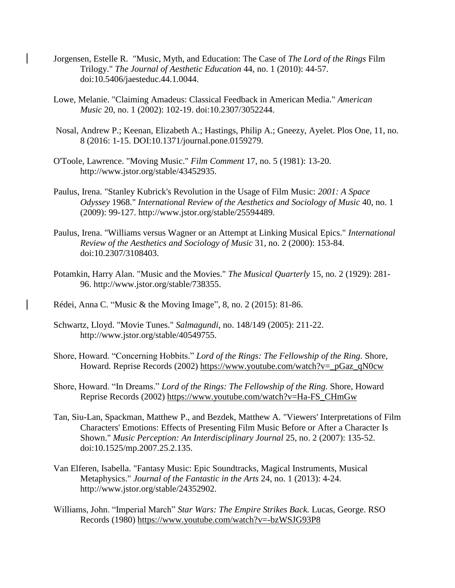- Jorgensen, Estelle R. "Music, Myth, and Education: The Case of *The Lord of the Rings* Film Trilogy." *The Journal of Aesthetic Education* 44, no. 1 (2010): 44-57. doi:10.5406/jaesteduc.44.1.0044.
- Lowe, Melanie. "Claiming Amadeus: Classical Feedback in American Media." *American Music* 20, no. 1 (2002): 102-19. doi:10.2307/3052244.
- Nosal, Andrew P.; Keenan, Elizabeth A.; Hastings, Philip A.; Gneezy, Ayelet. Plos One, 11, no. 8 (2016: 1-15. DOI:10.1371/journal.pone.0159279.
- O'Toole, Lawrence. "Moving Music." *Film Comment* 17, no. 5 (1981): 13-20. http://www.jstor.org/stable/43452935.
- Paulus, Irena. "Stanley Kubrick's Revolution in the Usage of Film Music: *2001: A Space Odyssey* 1968." *International Review of the Aesthetics and Sociology of Music* 40, no. 1 (2009): 99-127. http://www.jstor.org/stable/25594489.
- Paulus, Irena. "Williams versus Wagner or an Attempt at Linking Musical Epics." *International Review of the Aesthetics and Sociology of Music* 31, no. 2 (2000): 153-84. doi:10.2307/3108403.
- Potamkin, Harry Alan. "Music and the Movies." *The Musical Quarterly* 15, no. 2 (1929): 281- 96. http://www.jstor.org/stable/738355.
- Rédei, Anna C. "Music & the Moving Image", 8, no. 2 (2015): 81-86.
- Schwartz, Lloyd. "Movie Tunes." *Salmagundi*, no. 148/149 (2005): 211-22. http://www.jstor.org/stable/40549755.
- Shore, Howard. "Concerning Hobbits." *Lord of the Rings: The Fellowship of the Ring.* Shore, Howard*.* Reprise Records (2002) [https://www.youtube.com/watch?v=\\_pGaz\\_qN0cw](https://www.youtube.com/watch?v=_pGaz_qN0cw)
- Shore, Howard. "In Dreams." *Lord of the Rings: The Fellowship of the Ring.* Shore, Howard Reprise Records (2002) [https://www.youtube.com/watch?v=Ha-FS\\_CHmGw](https://www.youtube.com/watch?v=Ha-FS_CHmGw)
- Tan, Siu-Lan, Spackman, Matthew P., and Bezdek, Matthew A. "Viewers' Interpretations of Film Characters' Emotions: Effects of Presenting Film Music Before or After a Character Is Shown." *Music Perception: An Interdisciplinary Journal* 25, no. 2 (2007): 135-52. doi:10.1525/mp.2007.25.2.135.
- Van Elferen, Isabella. "Fantasy Music: Epic Soundtracks, Magical Instruments, Musical Metaphysics." *Journal of the Fantastic in the Arts* 24, no. 1 (2013): 4-24. http://www.jstor.org/stable/24352902.
- Williams, John. "Imperial March" *Star Wars: The Empire Strikes Back.* Lucas, George. RSO Records (1980)<https://www.youtube.com/watch?v=-bzWSJG93P8>